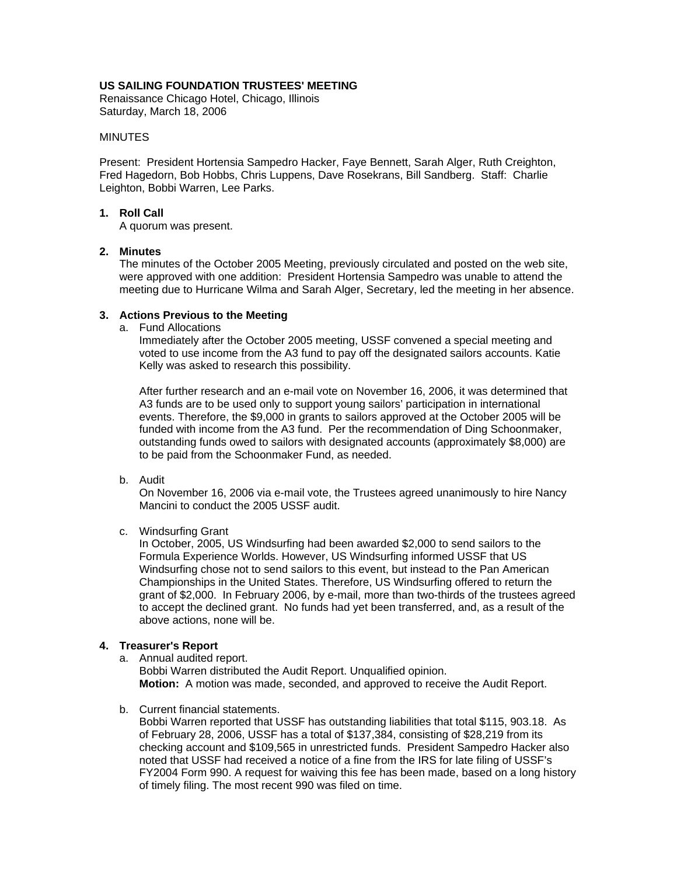## **US SAILING FOUNDATION TRUSTEES' MEETING**

Renaissance Chicago Hotel, Chicago, Illinois Saturday, March 18, 2006

### **MINUTES**

Present: President Hortensia Sampedro Hacker, Faye Bennett, Sarah Alger, Ruth Creighton, Fred Hagedorn, Bob Hobbs, Chris Luppens, Dave Rosekrans, Bill Sandberg. Staff: Charlie Leighton, Bobbi Warren, Lee Parks.

### **1. Roll Call**

A quorum was present.

### **2. Minutes**

The minutes of the October 2005 Meeting, previously circulated and posted on the web site, were approved with one addition: President Hortensia Sampedro was unable to attend the meeting due to Hurricane Wilma and Sarah Alger, Secretary, led the meeting in her absence.

### **3. Actions Previous to the Meeting**

a. Fund Allocations

Immediately after the October 2005 meeting, USSF convened a special meeting and voted to use income from the A3 fund to pay off the designated sailors accounts. Katie Kelly was asked to research this possibility.

After further research and an e-mail vote on November 16, 2006, it was determined that A3 funds are to be used only to support young sailors' participation in international events. Therefore, the \$9,000 in grants to sailors approved at the October 2005 will be funded with income from the A3 fund. Per the recommendation of Ding Schoonmaker, outstanding funds owed to sailors with designated accounts (approximately \$8,000) are to be paid from the Schoonmaker Fund, as needed.

b. Audit

On November 16, 2006 via e-mail vote, the Trustees agreed unanimously to hire Nancy Mancini to conduct the 2005 USSF audit.

c. Windsurfing Grant

In October, 2005, US Windsurfing had been awarded \$2,000 to send sailors to the Formula Experience Worlds. However, US Windsurfing informed USSF that US Windsurfing chose not to send sailors to this event, but instead to the Pan American Championships in the United States. Therefore, US Windsurfing offered to return the grant of \$2,000. In February 2006, by e-mail, more than two-thirds of the trustees agreed to accept the declined grant. No funds had yet been transferred, and, as a result of the above actions, none will be.

## **4. Treasurer's Report**

a. Annual audited report.

Bobbi Warren distributed the Audit Report. Unqualified opinion. **Motion:** A motion was made, seconded, and approved to receive the Audit Report.

b. Current financial statements.

Bobbi Warren reported that USSF has outstanding liabilities that total \$115, 903.18. As of February 28, 2006, USSF has a total of \$137,384, consisting of \$28,219 from its checking account and \$109,565 in unrestricted funds. President Sampedro Hacker also noted that USSF had received a notice of a fine from the IRS for late filing of USSF's FY2004 Form 990. A request for waiving this fee has been made, based on a long history of timely filing. The most recent 990 was filed on time.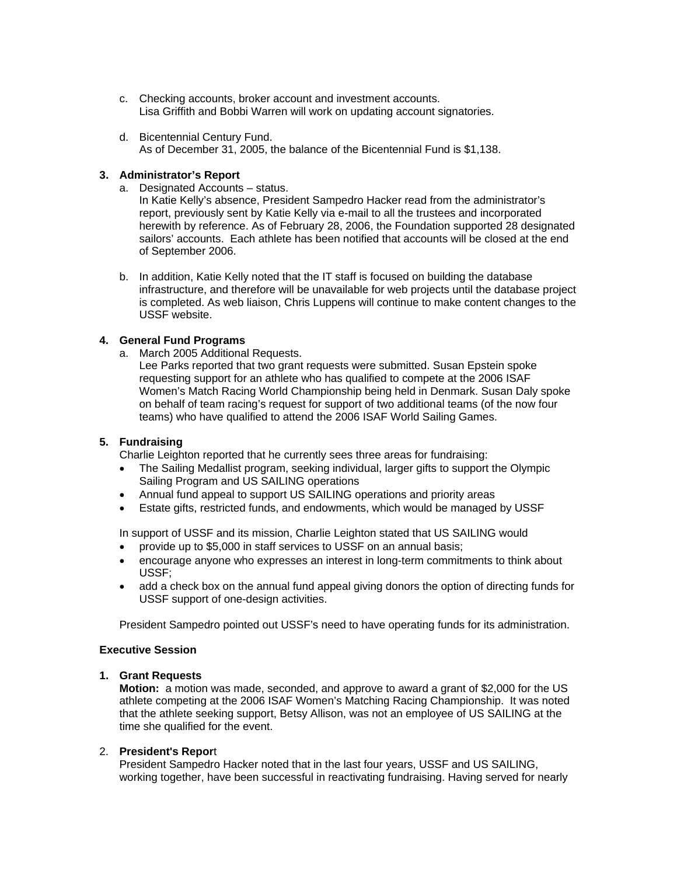- c. Checking accounts, broker account and investment accounts. Lisa Griffith and Bobbi Warren will work on updating account signatories.
- d. Bicentennial Century Fund. As of December 31, 2005, the balance of the Bicentennial Fund is \$1,138.

## **3. Administrator's Report**

a. Designated Accounts – status.

In Katie Kelly's absence, President Sampedro Hacker read from the administrator's report, previously sent by Katie Kelly via e-mail to all the trustees and incorporated herewith by reference. As of February 28, 2006, the Foundation supported 28 designated sailors' accounts. Each athlete has been notified that accounts will be closed at the end of September 2006.

b. In addition, Katie Kelly noted that the IT staff is focused on building the database infrastructure, and therefore will be unavailable for web projects until the database project is completed. As web liaison, Chris Luppens will continue to make content changes to the USSF website.

# **4. General Fund Programs**

- a. March 2005 Additional Requests.
	- Lee Parks reported that two grant requests were submitted. Susan Epstein spoke requesting support for an athlete who has qualified to compete at the 2006 ISAF Women's Match Racing World Championship being held in Denmark. Susan Daly spoke on behalf of team racing's request for support of two additional teams (of the now four teams) who have qualified to attend the 2006 ISAF World Sailing Games.

## **5. Fundraising**

Charlie Leighton reported that he currently sees three areas for fundraising:

- The Sailing Medallist program, seeking individual, larger gifts to support the Olympic Sailing Program and US SAILING operations
- Annual fund appeal to support US SAILING operations and priority areas
- Estate gifts, restricted funds, and endowments, which would be managed by USSF

In support of USSF and its mission, Charlie Leighton stated that US SAILING would

- provide up to \$5,000 in staff services to USSF on an annual basis;
- encourage anyone who expresses an interest in long-term commitments to think about USSF;
- add a check box on the annual fund appeal giving donors the option of directing funds for USSF support of one-design activities.

President Sampedro pointed out USSF's need to have operating funds for its administration.

## **Executive Session**

## **1. Grant Requests**

**Motion:** a motion was made, seconded, and approve to award a grant of \$2,000 for the US athlete competing at the 2006 ISAF Women's Matching Racing Championship. It was noted that the athlete seeking support, Betsy Allison, was not an employee of US SAILING at the time she qualified for the event.

## 2. **President's Repor**t

President Sampedro Hacker noted that in the last four years, USSF and US SAILING, working together, have been successful in reactivating fundraising. Having served for nearly